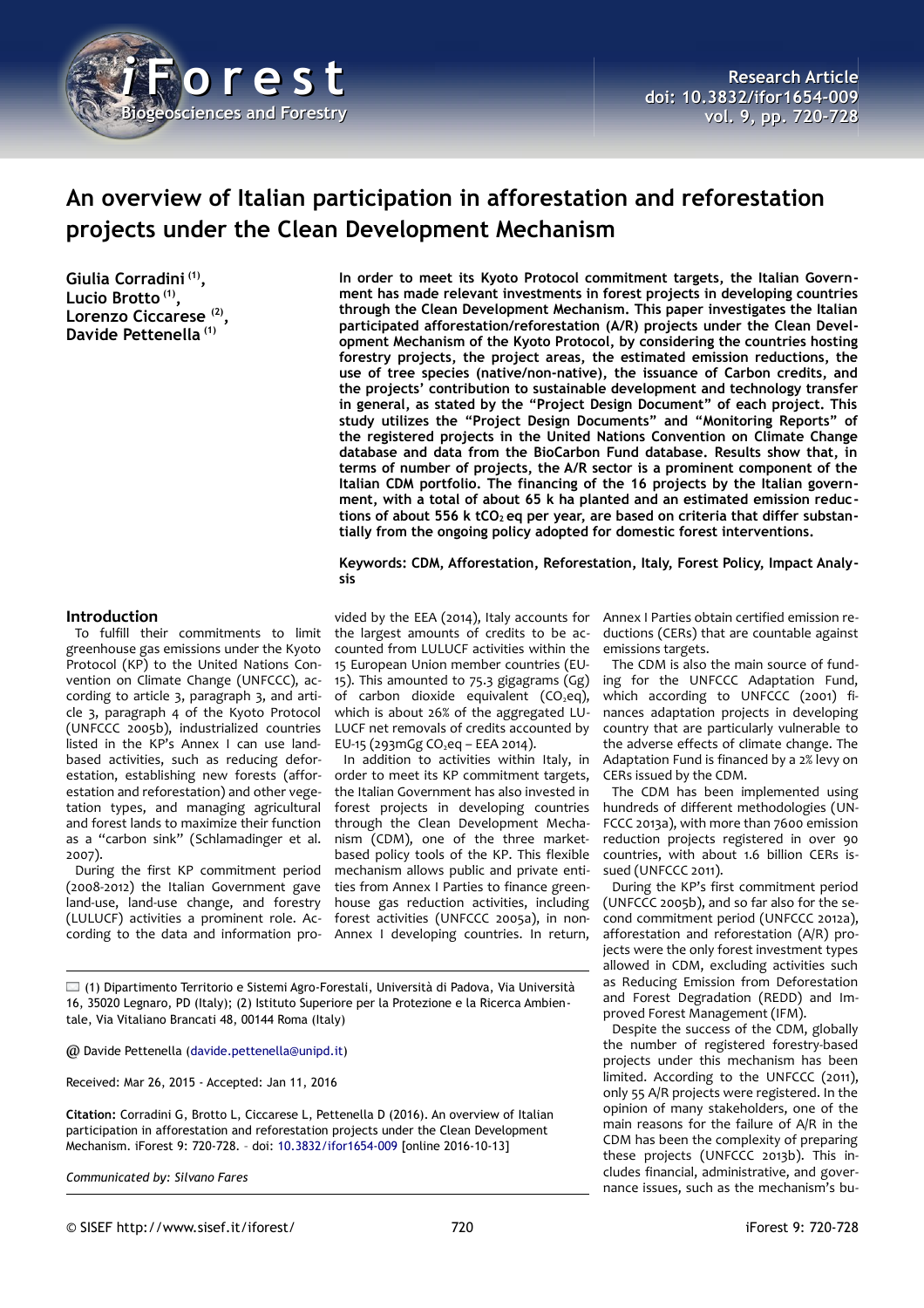

# **An overview of Italian participation in afforestation and reforestation projects under the Clean Development Mechanism**

**Giulia Corradini (1) , Lucio Brotto (1) , Lorenzo Ciccarese (2) , Davide Pettenella (1)**

**In order to meet its Kyoto Protocol commitment targets, the Italian Government has made relevant investments in forest projects in developing countries through the Clean Development Mechanism. This paper investigates the Italian participated afforestation/reforestation (A/R) projects under the Clean Development Mechanism of the Kyoto Protocol, by considering the countries hosting forestry projects, the project areas, the estimated emission reductions, the use of tree species (native/non-native), the issuance of Carbon credits, and the projects' contribution to sustainable development and technology transfer in general, as stated by the "Project Design Document" of each project. This study utilizes the "Project Design Documents" and "Monitoring Reports" of the registered projects in the United Nations Convention on Climate Change database and data from the BioCarbon Fund database. Results show that, in terms of number of projects, the A/R sector is a prominent component of the Italian CDM portfolio. The financing of the 16 projects by the Italian government, with a total of about 65 k ha planted and an estimated emission reduc**tions of about 556 k tCO<sub>2</sub> eq per year, are based on criteria that differ substan**tially from the ongoing policy adopted for domestic forest interventions.**

**Keywords: CDM, Afforestation, Reforestation, Italy, Forest Policy, Impact Analysis**

### **Introduction**

To fulfill their commitments to limit greenhouse gas emissions under the Kyoto Protocol (KP) to the United Nations Convention on Climate Change (UNFCCC), according to article 3, paragraph 3, and article 3, paragraph 4 of the Kyoto Protocol (UNFCCC 2005b), industrialized countries listed in the KP's Annex I can use landbased activities, such as reducing deforestation, establishing new forests (afforestation and reforestation) and other vegetation types, and managing agricultural and forest lands to maximize their function as a "carbon sink" (Schlamadinger et al. 2007).

During the first KP commitment period (2008-2012) the Italian Government gave land-use, land-use change, and forestry (LULUCF) activities a prominent role. According to the data and information pro-

vided by the EEA (2014), Italy accounts for the largest amounts of credits to be accounted from LULUCF activities within the 15 European Union member countries (EU-15). This amounted to 75.3 gigagrams (Gg) of carbon dioxide equivalent  $(CO_2eq)$ , which is about 26% of the aggregated LU-LUCF net removals of credits accounted by EU-15 (293mGg CO<sub>2</sub>eq – EEA 2014).

In addition to activities within Italy, in order to meet its KP commitment targets, the Italian Government has also invested in forest projects in developing countries through the Clean Development Mechanism (CDM), one of the three marketbased policy tools of the KP. This flexible mechanism allows public and private entities from Annex I Parties to finance greenhouse gas reduction activities, including forest activities (UNFCCC 2005a), in non-Annex I developing countries. In return,

(1) Dipartimento Territorio e Sistemi Agro-Forestali, Università di Padova, Via Università 16, 35020 Legnaro, PD (Italy); (2) Istituto Superiore per la Protezione e la Ricerca Ambientale, Via Vitaliano Brancati 48, 00144 Roma (Italy)

@ Davide Pettenella [\(davide.pettenella@unipd.it\)](mailto:davide.pettenella@unipd.it)

Received: Mar 26, 2015 - Accepted: Jan 11, 2016

**Citation:** Corradini G, Brotto L, Ciccarese L, Pettenella D (2016). An overview of Italian participation in afforestation and reforestation projects under the Clean Development Mechanism. iForest 9: 720-728. – doi: [10.3832/ifor1654-009](http://www.sisef.it/iforest/contents/?id=ifor1654-009) [online 2016-10-13]

*Communicated by: Silvano Fares*

Annex I Parties obtain certified emission reductions (CERs) that are countable against emissions targets.

The CDM is also the main source of funding for the UNFCCC Adaptation Fund, which according to UNFCCC (2001) finances adaptation projects in developing country that are particularly vulnerable to the adverse effects of climate change. The Adaptation Fund is financed by a 2% levy on CERs issued by the CDM.

The CDM has been implemented using hundreds of different methodologies (UN-FCCC 2013a), with more than 7600 emission reduction projects registered in over 90 countries, with about 1.6 billion CERs issued (UNFCCC 2011).

During the KP's first commitment period (UNFCCC 2005b), and so far also for the second commitment period (UNFCCC 2012a), afforestation and reforestation (A/R) projects were the only forest investment types allowed in CDM, excluding activities such as Reducing Emission from Deforestation and Forest Degradation (REDD) and Improved Forest Management (IFM).

Despite the success of the CDM, globally the number of registered forestry-based projects under this mechanism has been limited. According to the UNFCCC (2011), only 55 A/R projects were registered. In the opinion of many stakeholders, one of the main reasons for the failure of A/R in the CDM has been the complexity of preparing these projects (UNFCCC 2013b). This includes financial, administrative, and governance issues, such as the mechanism's bu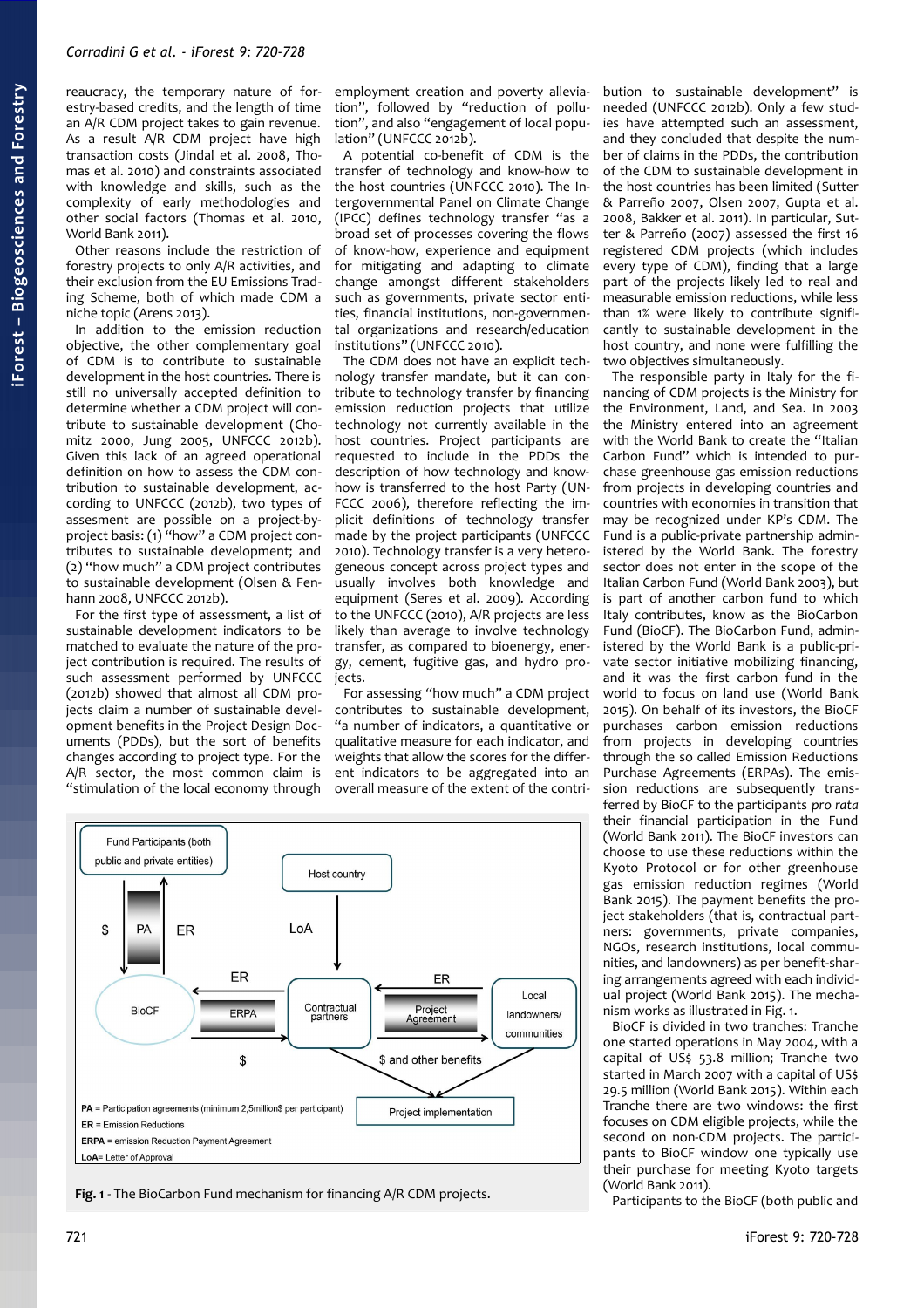reaucracy, the temporary nature of forestry-based credits, and the length of time an A/R CDM project takes to gain revenue. As a result A/R CDM project have high transaction costs (Jindal et al. 2008, Thomas et al. 2010) and constraints associated with knowledge and skills, such as the complexity of early methodologies and other social factors (Thomas et al. 2010, World Bank 2011).

Other reasons include the restriction of forestry projects to only A/R activities, and their exclusion from the EU Emissions Trading Scheme, both of which made CDM a niche topic (Arens 2013).

In addition to the emission reduction objective, the other complementary goal of CDM is to contribute to sustainable development in the host countries. There is still no universally accepted definition to determine whether a CDM project will contribute to sustainable development (Chomitz 2000, Jung 2005, UNFCCC 2012b). Given this lack of an agreed operational definition on how to assess the CDM contribution to sustainable development, according to UNFCCC (2012b), two types of assesment are possible on a project-byproject basis: (1) "how" a CDM project contributes to sustainable development; and (2) "how much" a CDM project contributes to sustainable development (Olsen & Fenhann 2008, UNFCCC 2012b).

For the first type of assessment, a list of sustainable development indicators to be matched to evaluate the nature of the project contribution is required. The results of such assessment performed by UNFCCC (2012b) showed that almost all CDM projects claim a number of sustainable development benefits in the Project Design Documents (PDDs), but the sort of benefits changes according to project type. For the A/R sector, the most common claim is "stimulation of the local economy through

employment creation and poverty alleviation", followed by "reduction of pollution", and also "engagement of local population" (UNFCCC 2012b).

A potential co-benefit of CDM is the transfer of technology and know-how to the host countries (UNFCCC 2010). The Intergovernmental Panel on Climate Change (IPCC) defines technology transfer "as a broad set of processes covering the flows of know-how, experience and equipment for mitigating and adapting to climate change amongst different stakeholders such as governments, private sector entities, financial institutions, non-governmental organizations and research/education institutions" (UNFCCC 2010).

The CDM does not have an explicit technology transfer mandate, but it can contribute to technology transfer by financing emission reduction projects that utilize technology not currently available in the host countries. Project participants are requested to include in the PDDs the description of how technology and knowhow is transferred to the host Party (UN-FCCC 2006), therefore reflecting the implicit definitions of technology transfer made by the project participants (UNFCCC 2010). Technology transfer is a very heterogeneous concept across project types and usually involves both knowledge and equipment (Seres et al. 2009). According to the UNFCCC (2010), A/R projects are less likely than average to involve technology transfer, as compared to bioenergy, energy, cement, fugitive gas, and hydro projects.

For assessing *"*how much*"* a CDM project contributes to sustainable development, "a number of indicators, a quantitative or qualitative measure for each indicator, and weights that allow the scores for the different indicators to be aggregated into an overall measure of the extent of the contri-

Fund Participants (both public and private entities) Host country LoA \$ PA ER ER ER Local Contractual<br>partners Project<br>Agreement **BioCF** FRPA landowners/ communities \$ \$ and other benefits PA = Participation agreements (minimum 2.5million\$ per participant) Project implementation  $ER = Emission Reductions$ **ERPA** = emission Reduction Payment Agreement LoA= Letter of Approval

<span id="page-1-0"></span>**Fig. 1** - The BioCarbon Fund mechanism for financing A/R CDM projects.

bution to sustainable development" is needed (UNFCCC 2012b). Only a few studies have attempted such an assessment, and they concluded that despite the number of claims in the PDDs, the contribution of the CDM to sustainable development in the host countries has been limited (Sutter & Parreño 2007, Olsen 2007, Gupta et al. 2008, Bakker et al. 2011). In particular, Sutter & Parreño (2007) assessed the first 16 registered CDM projects (which includes every type of CDM), finding that a large part of the projects likely led to real and measurable emission reductions, while less than 1% were likely to contribute significantly to sustainable development in the host country, and none were fulfilling the two objectives simultaneously.

The responsible party in Italy for the financing of CDM projects is the Ministry for the Environment, Land, and Sea. In 2003 the Ministry entered into an agreement with the World Bank to create the "Italian Carbon Fund" which is intended to purchase greenhouse gas emission reductions from projects in developing countries and countries with economies in transition that may be recognized under KP's CDM. The Fund is a public-private partnership administered by the World Bank. The forestry sector does not enter in the scope of the Italian Carbon Fund (World Bank 2003), but is part of another carbon fund to which Italy contributes, know as the BioCarbon Fund (BioCF). The BioCarbon Fund, administered by the World Bank is a public-private sector initiative mobilizing financing, and it was the first carbon fund in the world to focus on land use (World Bank 2015). On behalf of its investors, the BioCF purchases carbon emission reductions from projects in developing countries through the so called Emission Reductions Purchase Agreements (ERPAs). The emission reductions are subsequently transferred by BioCF to the participants *pro rata* their financial participation in the Fund (World Bank 2011). The BioCF investors can choose to use these reductions within the Kyoto Protocol or for other greenhouse gas emission reduction regimes (World Bank 2015). The payment benefits the project stakeholders (that is, contractual partners: governments, private companies, NGOs, research institutions, local communities, and landowners) as per benefit-sharing arrangements agreed with each individual project (World Bank 2015). The mechanism works as illustrated in [Fig. 1.](#page-1-0)

BioCF is divided in two tranches: Tranche one started operations in May 2004, with a capital of US\$ 53.8 million; Tranche two started in March 2007 with a capital of US\$ 29.5 million (World Bank 2015). Within each Tranche there are two windows: the first focuses on CDM eligible projects, while the second on non-CDM projects. The participants to BioCF window one typically use their purchase for meeting Kyoto targets (World Bank 2011).

Participants to the BioCF (both public and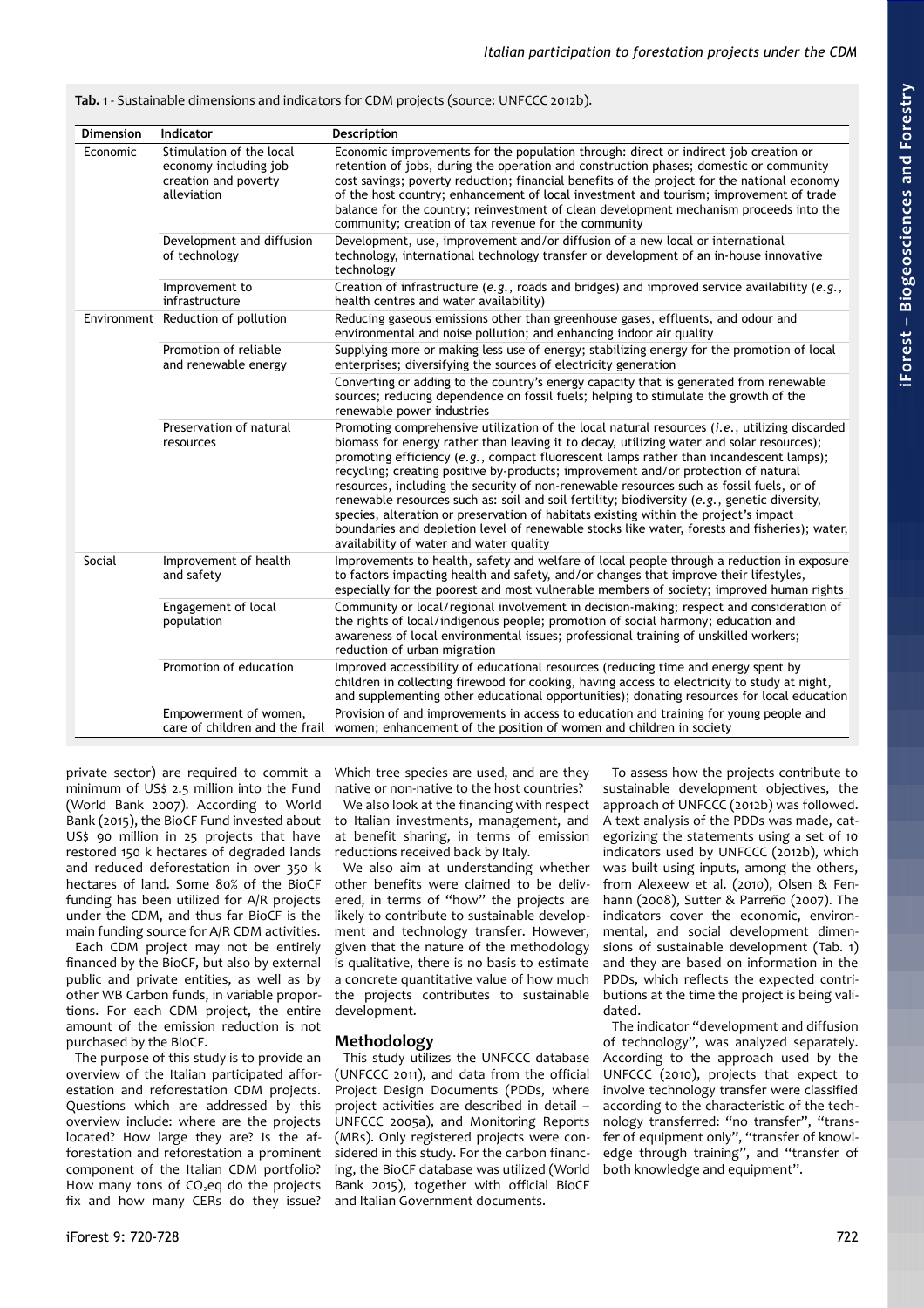<span id="page-2-0"></span>**Tab. 1** - Sustainable dimensions and indicators for CDM projects (source: UNFCCC 2012b).

| <b>Dimension</b> | Indicator                                                                                | Description                                                                                                                                                                                                                                                                                                                                                                                                                                                                                                                                                                                                                                                                                                                                                                                                     |
|------------------|------------------------------------------------------------------------------------------|-----------------------------------------------------------------------------------------------------------------------------------------------------------------------------------------------------------------------------------------------------------------------------------------------------------------------------------------------------------------------------------------------------------------------------------------------------------------------------------------------------------------------------------------------------------------------------------------------------------------------------------------------------------------------------------------------------------------------------------------------------------------------------------------------------------------|
| Economic         | Stimulation of the local<br>economy including job<br>creation and poverty<br>alleviation | Economic improvements for the population through: direct or indirect job creation or<br>retention of jobs, during the operation and construction phases; domestic or community<br>cost savings; poverty reduction; financial benefits of the project for the national economy<br>of the host country; enhancement of local investment and tourism; improvement of trade<br>balance for the country; reinvestment of clean development mechanism proceeds into the<br>community; creation of tax revenue for the community                                                                                                                                                                                                                                                                                       |
|                  | Development and diffusion<br>of technology                                               | Development, use, improvement and/or diffusion of a new local or international<br>technology, international technology transfer or development of an in-house innovative<br>technology                                                                                                                                                                                                                                                                                                                                                                                                                                                                                                                                                                                                                          |
|                  | Improvement to<br>infrastructure                                                         | Creation of infrastructure (e.g., roads and bridges) and improved service availability (e.g.,<br>health centres and water availability)                                                                                                                                                                                                                                                                                                                                                                                                                                                                                                                                                                                                                                                                         |
|                  | Environment Reduction of pollution                                                       | Reducing gaseous emissions other than greenhouse gases, effluents, and odour and<br>environmental and noise pollution; and enhancing indoor air quality                                                                                                                                                                                                                                                                                                                                                                                                                                                                                                                                                                                                                                                         |
|                  | Promotion of reliable<br>and renewable energy                                            | Supplying more or making less use of energy; stabilizing energy for the promotion of local<br>enterprises; diversifying the sources of electricity generation                                                                                                                                                                                                                                                                                                                                                                                                                                                                                                                                                                                                                                                   |
|                  |                                                                                          | Converting or adding to the country's energy capacity that is generated from renewable<br>sources; reducing dependence on fossil fuels; helping to stimulate the growth of the<br>renewable power industries                                                                                                                                                                                                                                                                                                                                                                                                                                                                                                                                                                                                    |
|                  | Preservation of natural<br>resources                                                     | Promoting comprehensive utilization of the local natural resources $(i.e.,$ utilizing discarded<br>biomass for energy rather than leaving it to decay, utilizing water and solar resources);<br>promoting efficiency (e.g., compact fluorescent lamps rather than incandescent lamps);<br>recycling; creating positive by-products; improvement and/or protection of natural<br>resources, including the security of non-renewable resources such as fossil fuels, or of<br>renewable resources such as: soil and soil fertility; biodiversity $(e.g.,)$ genetic diversity,<br>species, alteration or preservation of habitats existing within the project's impact<br>boundaries and depletion level of renewable stocks like water, forests and fisheries); water,<br>availability of water and water quality |
| Social           | Improvement of health<br>and safety                                                      | Improvements to health, safety and welfare of local people through a reduction in exposure<br>to factors impacting health and safety, and/or changes that improve their lifestyles,<br>especially for the poorest and most vulnerable members of society; improved human rights                                                                                                                                                                                                                                                                                                                                                                                                                                                                                                                                 |
|                  | Engagement of local<br>population                                                        | Community or local/regional involvement in decision-making; respect and consideration of<br>the rights of local/indigenous people; promotion of social harmony; education and<br>awareness of local environmental issues; professional training of unskilled workers;<br>reduction of urban migration                                                                                                                                                                                                                                                                                                                                                                                                                                                                                                           |
|                  | Promotion of education                                                                   | Improved accessibility of educational resources (reducing time and energy spent by<br>children in collecting firewood for cooking, having access to electricity to study at night,<br>and supplementing other educational opportunities); donating resources for local education                                                                                                                                                                                                                                                                                                                                                                                                                                                                                                                                |
|                  | Empowerment of women,                                                                    | Provision of and improvements in access to education and training for young people and<br>care of children and the frail women; enhancement of the position of women and children in society                                                                                                                                                                                                                                                                                                                                                                                                                                                                                                                                                                                                                    |

private sector) are required to commit a minimum of US\$ 2.5 million into the Fund (World Bank 2007). According to World Bank (2015), the BioCF Fund invested about US\$ 90 million in 25 projects that have restored 150 k hectares of degraded lands and reduced deforestation in over 350 k hectares of land. Some 80% of the BioCF funding has been utilized for A/R projects under the CDM, and thus far BioCF is the main funding source for A/R CDM activities.

Each CDM project may not be entirely financed by the BioCF, but also by external public and private entities, as well as by other WB Carbon funds, in variable proportions. For each CDM project, the entire amount of the emission reduction is not purchased by the BioCF.

The purpose of this study is to provide an overview of the Italian participated afforestation and reforestation CDM projects. Questions which are addressed by this overview include: where are the projects located? How large they are? Is the afforestation and reforestation a prominent component of the Italian CDM portfolio? How many tons of  $CO<sub>2</sub>$ eq do the projects fix and how many CERs do they issue? Which tree species are used, and are they native or non-native to the host countries?

We also look at the financing with respect to Italian investments, management, and at benefit sharing, in terms of emission reductions received back by Italy.

We also aim at understanding whether other benefits were claimed to be delivered, in terms of "how" the projects are likely to contribute to sustainable development and technology transfer. However, given that the nature of the methodology is qualitative, there is no basis to estimate a concrete quantitative value of how much the projects contributes to sustainable development.

# **Methodology**

This study utilizes the UNFCCC database (UNFCCC 2011), and data from the official Project Design Documents (PDDs, where project activities are described in detail – UNFCCC 2005a), and Monitoring Reports (MRs). Only registered projects were considered in this study. For the carbon financing, the BioCF database was utilized (World Bank 2015), together with official BioCF and Italian Government documents.

To assess how the projects contribute to sustainable development objectives, the approach of UNFCCC (2012b) was followed. A text analysis of the PDDs was made, categorizing the statements using a set of 10 indicators used by UNFCCC (2012b), which was built using inputs, among the others, from Alexeew et al. (2010), Olsen & Fenhann (2008), Sutter & Parreño (2007). The indicators cover the economic, environmental, and social development dimensions of sustainable development [\(Tab. 1\)](#page-2-0) and they are based on information in the PDDs, which reflects the expected contributions at the time the project is being validated.

The indicator "development and diffusion of technology", was analyzed separately. According to the approach used by the UNFCCC (2010), projects that expect to involve technology transfer were classified according to the characteristic of the technology transferred: "no transfer", "transfer of equipment only", "transfer of knowledge through training", and "transfer of both knowledge and equipment".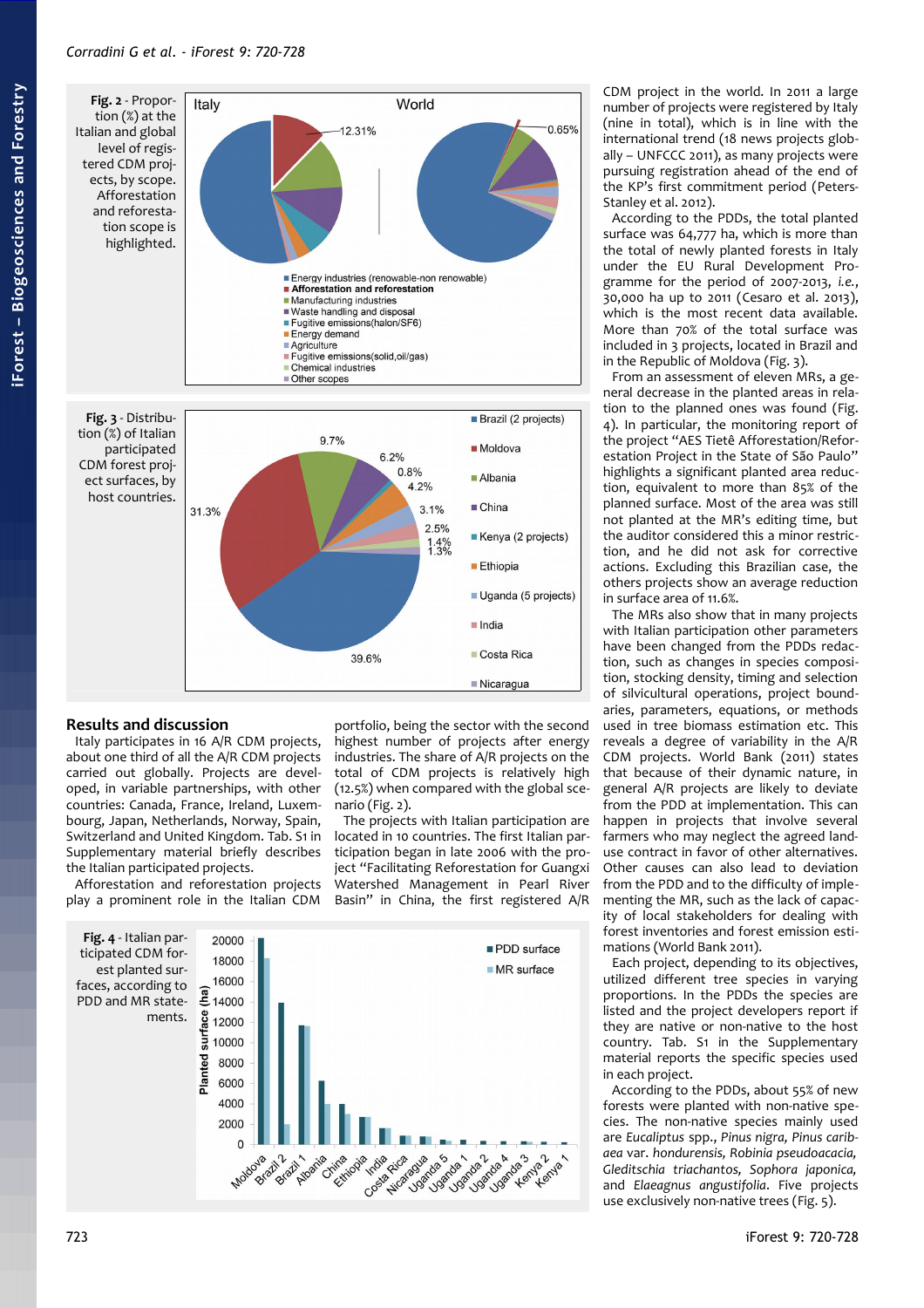<span id="page-3-2"></span>

## <span id="page-3-1"></span>**Results and discussion**

Italy participates in 16 A/R CDM projects, about one third of all the A/R CDM projects carried out globally. Projects are developed, in variable partnerships, with other countries: Canada, France, Ireland, Luxembourg, Japan, Netherlands, Norway, Spain, Switzerland and United Kingdom. [Tab. S1](#page-8-0) in Supplementary material briefly describes the Italian participated projects.

Afforestation and reforestation projects play a prominent role in the Italian CDM

portfolio, being the sector with the second highest number of projects after energy industries. The share of A/R projects on the total of CDM projects is relatively high (12.5%) when compared with the global scenario [\(Fig. 2\)](#page-3-2).

The projects with Italian participation are located in 10 countries. The first Italian participation began in late 2006 with the project "Facilitating Reforestation for Guangxi Watershed Management in Pearl River Basin" in China, the first registered A/R

<span id="page-3-0"></span>

CDM project in the world. In 2011 a large number of projects were registered by Italy (nine in total), which is in line with the international trend (18 news projects globally – UNFCCC 2011), as many projects were pursuing registration ahead of the end of the KP's first commitment period (Peters-Stanley et al. 2012).

According to the PDDs, the total planted surface was 64,777 ha, which is more than the total of newly planted forests in Italy under the EU Rural Development Programme for the period of 2007-2013, *i.e.*, 30,000 ha up to 2011 (Cesaro et al. 2013), which is the most recent data available. More than 70% of the total surface was included in 3 projects, located in Brazil and in the Republic of Moldova [\(Fig. 3\)](#page-3-1).

From an assessment of eleven MRs, a general decrease in the planted areas in relation to the planned ones was found [\(Fig.](#page-3-0) [4\)](#page-3-0). In particular, the monitoring report of the project "AES Tietê Afforestation/Reforestation Project in the State of São Paulo" highlights a significant planted area reduction, equivalent to more than 85% of the planned surface. Most of the area was still not planted at the MR's editing time, but the auditor considered this a minor restriction, and he did not ask for corrective actions. Excluding this Brazilian case, the others projects show an average reduction in surface area of 11.6%.

The MRs also show that in many projects with Italian participation other parameters have been changed from the PDDs redaction, such as changes in species composition, stocking density, timing and selection of silvicultural operations, project boundaries, parameters, equations, or methods used in tree biomass estimation etc. This reveals a degree of variability in the A/R CDM projects. World Bank (2011) states that because of their dynamic nature, in general A/R projects are likely to deviate from the PDD at implementation. This can happen in projects that involve several farmers who may neglect the agreed landuse contract in favor of other alternatives. Other causes can also lead to deviation from the PDD and to the difficulty of implementing the MR, such as the lack of capacity of local stakeholders for dealing with forest inventories and forest emission estimations (World Bank 2011).

Each project, depending to its objectives, utilized different tree species in varying proportions. In the PDDs the species are listed and the project developers report if they are native or non-native to the host country. [Tab. S1](#page-8-0) in the Supplementary material reports the specific species used in each project.

According to the PDDs, about 55% of new forests were planted with non-native species. The non-native species mainly used are *Eucaliptus* spp., *Pinus nigra, Pinus caribaea* var. *hondurensis, Robinia pseudoacacia, Gleditschia triachantos, Sophora japonica,* and *Elaeagnus angustifolia*. Five projects use exclusively non-native trees [\(Fig. 5\)](#page-4-0).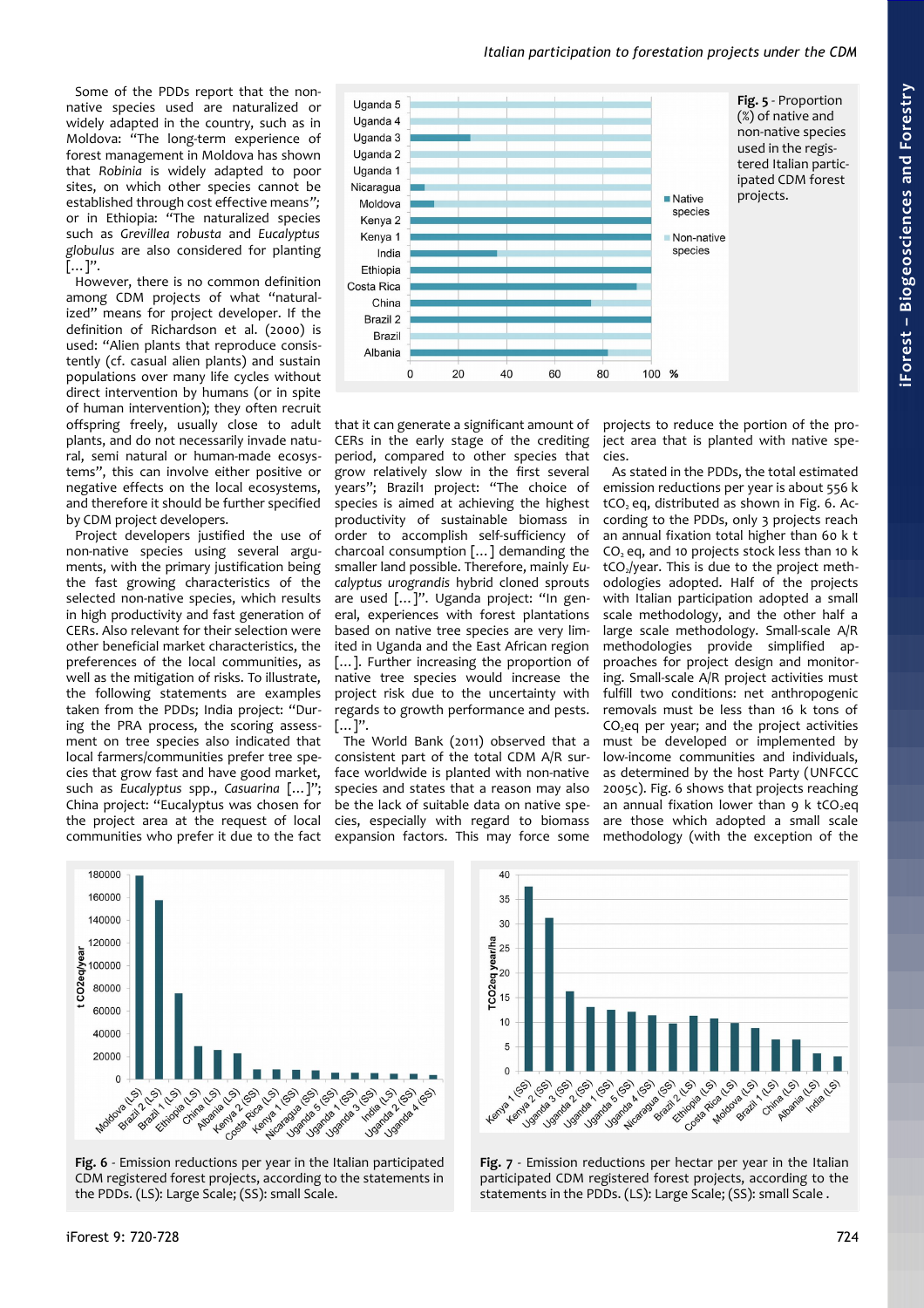Some of the PDDs report that the nonnative species used are naturalized or widely adapted in the country, such as in Moldova: "The long-term experience of forest management in Moldova has shown that *Robinia* is widely adapted to poor sites, on which other species cannot be established through cost effective means*";* or in Ethiopia: "The naturalized species such as *Grevillea robusta* and *Eucalyptus globulus* are also considered for planting […]".

However, there is no common definition among CDM projects of what "naturalized" means for project developer. If the definition of Richardson et al. (2000) is used: "Alien plants that reproduce consistently (cf. casual alien plants) and sustain populations over many life cycles without direct intervention by humans (or in spite of human intervention); they often recruit offspring freely, usually close to adult plants, and do not necessarily invade natural, semi natural or human-made ecosystems", this can involve either positive or negative effects on the local ecosystems, and therefore it should be further specified by CDM project developers.

Project developers justified the use of non-native species using several arguments, with the primary justification being the fast growing characteristics of the selected non-native species, which results in high productivity and fast generation of CERs. Also relevant for their selection were other beneficial market characteristics, the preferences of the local communities, as well as the mitigation of risks. To illustrate, the following statements are examples taken from the PDDs; India project: "During the PRA process, the scoring assessment on tree species also indicated that local farmers/communities prefer tree species that grow fast and have good market, such as *Eucalyptus* spp., *Casuarina* […]"; China project: "Eucalyptus was chosen for the project area at the request of local communities who prefer it due to the fact



<span id="page-4-0"></span>*Italian participation to forestation projects under the CDM*

that it can generate a significant amount of CERs in the early stage of the crediting period, compared to other species that grow relatively slow in the first several years"; Brazil1 project: "The choice of species is aimed at achieving the highest productivity of sustainable biomass in order to accomplish self-sufficiency of charcoal consumption […] demanding the smaller land possible. Therefore, mainly *Eucalyptus urograndis* hybrid cloned sprouts are used […]". Uganda project: "In general, experiences with forest plantations based on native tree species are very limited in Uganda and the East African region [...]. Further increasing the proportion of native tree species would increase the project risk due to the uncertainty with regards to growth performance and pests. […]".

The World Bank (2011) observed that a consistent part of the total CDM A/R surface worldwide is planted with non-native species and states that a reason may also be the lack of suitable data on native species, especially with regard to biomass expansion factors. This may force some

projects to reduce the portion of the project area that is planted with native species.

As stated in the PDDs, the total estimated emission reductions per year is about 556 k  $tCO<sub>2</sub>$  eq, distributed as shown in [Fig. 6.](#page-4-1) According to the PDDs, only 3 projects reach an annual fixation total higher than 60 k t  $CO<sub>2</sub>$  eq, and 10 projects stock less than 10 k tCO<sub>2</sub>/year. This is due to the project methodologies adopted. Half of the projects with Italian participation adopted a small scale methodology, and the other half a large scale methodology. Small-scale A/R methodologies provide simplified approaches for project design and monitoring. Small-scale A/R project activities must fulfill two conditions: net anthropogenic removals must be less than 16 k tons of  $CO<sub>2</sub>$ eq per year; and the project activities must be developed or implemented by low-income communities and individuals, as determined by the host Party (UNFCCC 2005c). [Fig. 6](#page-4-1) shows that projects reaching an annual fixation lower than 9 k tCO<sub>2</sub>eq are those which adopted a small scale methodology (with the exception of the



<span id="page-4-1"></span>**Fig. 6** - Emission reductions per year in the Italian participated CDM registered forest projects, according to the statements in the PDDs. (LS): Large Scale; (SS): small Scale.



<span id="page-4-2"></span>**Fig. 7** - Emission reductions per hectar per year in the Italian participated CDM registered forest projects, according to the statements in the PDDs. (LS): Large Scale; (SS): small Scale .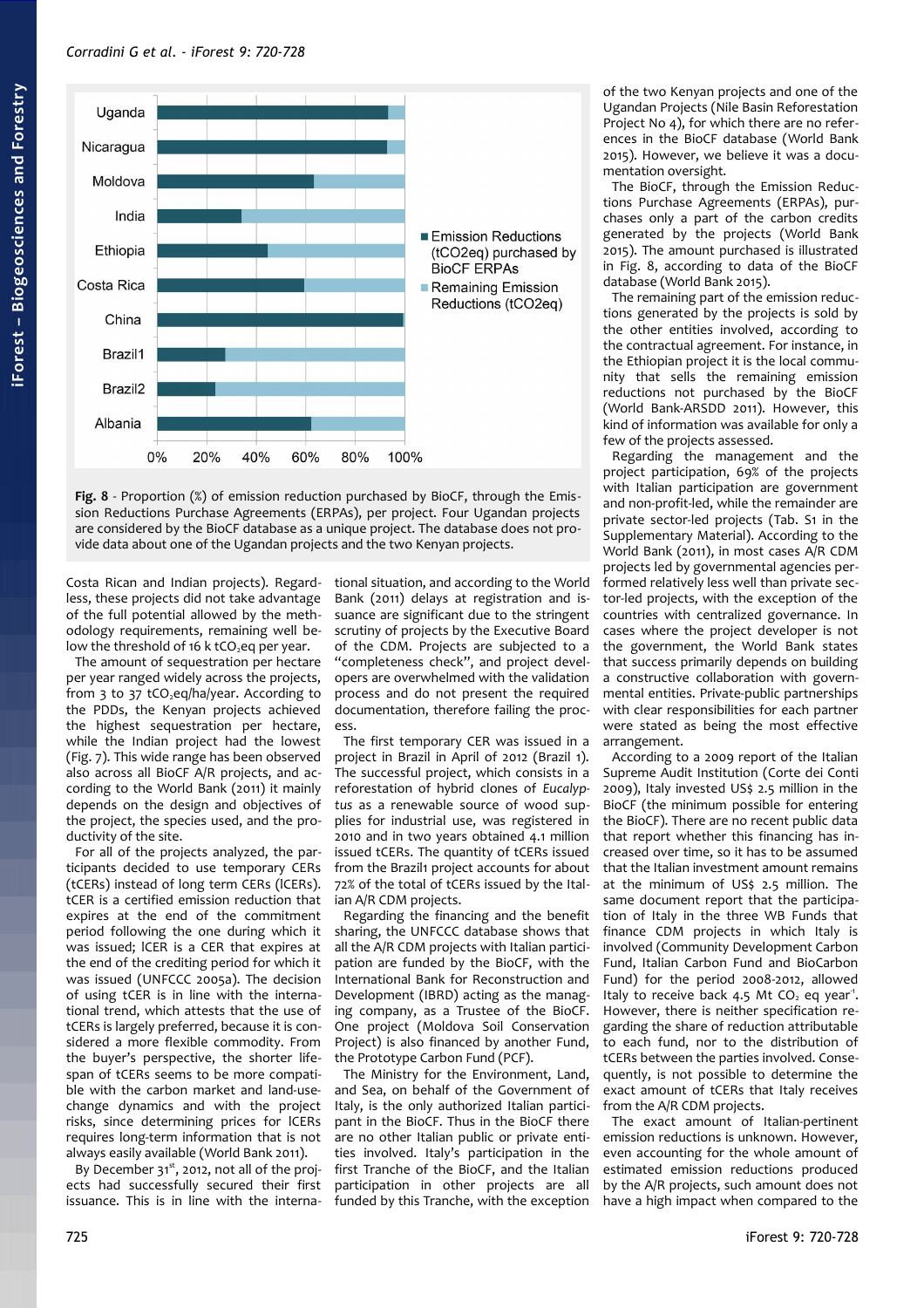

<span id="page-5-0"></span>

Costa Rican and Indian projects). Regardless, these projects did not take advantage of the full potential allowed by the methodology requirements, remaining well below the threshold of 16 k tCO<sub>2</sub>eq per year.

The amount of sequestration per hectare per year ranged widely across the projects, from 3 to 37 tCO<sub>2</sub>eq/ha/year. According to the PDDs, the Kenyan projects achieved the highest sequestration per hectare, while the Indian project had the lowest [\(Fig. 7\)](#page-4-2). This wide range has been observed also across all BioCF A/R projects, and according to the World Bank (2011) it mainly depends on the design and objectives of the project, the species used, and the productivity of the site.

For all of the projects analyzed, the participants decided to use temporary CERs (tCERs) instead of long term CERs (lCERs). tCER is a certified emission reduction that expires at the end of the commitment period following the one during which it was issued; lCER is a CER that expires at the end of the crediting period for which it was issued (UNFCCC 2005a). The decision of using tCER is in line with the international trend, which attests that the use of tCERs is largely preferred, because it is considered a more flexible commodity. From the buyer's perspective, the shorter lifespan of tCERs seems to be more compatible with the carbon market and land-usechange dynamics and with the project risks, since determining prices for lCERs requires long-term information that is not always easily available (World Bank 2011).

By December  $31^{st}$ , 2012, not all of the projects had successfully secured their first issuance. This is in line with the international situation, and according to the World Bank (2011) delays at registration and issuance are significant due to the stringent scrutiny of projects by the Executive Board of the CDM. Projects are subjected to a "completeness check", and project developers are overwhelmed with the validation process and do not present the required documentation, therefore failing the process.

The first temporary CER was issued in a project in Brazil in April of 2012 (Brazil 1). The successful project, which consists in a reforestation of hybrid clones of *Eucalyptus* as a renewable source of wood supplies for industrial use, was registered in 2010 and in two years obtained 4.1 million issued tCERs. The quantity of tCERs issued from the Brazil1 project accounts for about 72% of the total of tCERs issued by the Italian A/R CDM projects.

Regarding the financing and the benefit sharing, the UNFCCC database shows that all the A/R CDM projects with Italian participation are funded by the BioCF, with the International Bank for Reconstruction and Development (IBRD) acting as the managing company, as a Trustee of the BioCF. One project (Moldova Soil Conservation Project) is also financed by another Fund, the Prototype Carbon Fund (PCF).

The Ministry for the Environment, Land, and Sea, on behalf of the Government of Italy, is the only authorized Italian participant in the BioCF. Thus in the BioCF there are no other Italian public or private entities involved. Italy's participation in the first Tranche of the BioCF, and the Italian participation in other projects are all funded by this Tranche, with the exception

of the two Kenyan projects and one of the Ugandan Projects (Nile Basin Reforestation Project No 4), for which there are no references in the BioCF database (World Bank 2015). However, we believe it was a documentation oversight.

The BioCF, through the Emission Reductions Purchase Agreements (ERPAs), purchases only a part of the carbon credits generated by the projects (World Bank 2015). The amount purchased is illustrated in [Fig. 8,](#page-5-0) according to data of the BioCF database (World Bank 2015).

The remaining part of the emission reductions generated by the projects is sold by the other entities involved, according to the contractual agreement. For instance, in the Ethiopian project it is the local community that sells the remaining emission reductions not purchased by the BioCF (World Bank-ARSDD 2011). However, this kind of information was available for only a few of the projects assessed.

Regarding the management and the project participation, 69% of the projects with Italian participation are government and non-profit-led, while the remainder are private sector-led projects [\(Tab. S1](#page-8-0) in the Supplementary Material). According to the World Bank (2011), in most cases A/R CDM projects led by governmental agencies performed relatively less well than private sector-led projects, with the exception of the countries with centralized governance. In cases where the project developer is not the government, the World Bank states that success primarily depends on building a constructive collaboration with governmental entities. Private-public partnerships with clear responsibilities for each partner were stated as being the most effective arrangement.

According to a 2009 report of the Italian Supreme Audit Institution (Corte dei Conti 2009), Italy invested US\$ 2.5 million in the BioCF (the minimum possible for entering the BioCF). There are no recent public data that report whether this financing has increased over time, so it has to be assumed that the Italian investment amount remains at the minimum of US\$ 2.5 million. The same document report that the participation of Italy in the three WB Funds that finance CDM projects in which Italy is involved (Community Development Carbon Fund, Italian Carbon Fund and BioCarbon Fund) for the period 2008-2012, allowed Italy to receive back 4.5 Mt  $CO<sub>2</sub>$  eq year<sup>1</sup>. However, there is neither specification regarding the share of reduction attributable to each fund, nor to the distribution of tCERs between the parties involved. Consequently, is not possible to determine the exact amount of tCERs that Italy receives from the A/R CDM projects.

The exact amount of Italian-pertinent emission reductions is unknown. However, even accounting for the whole amount of estimated emission reductions produced by the A/R projects, such amount does not have a high impact when compared to the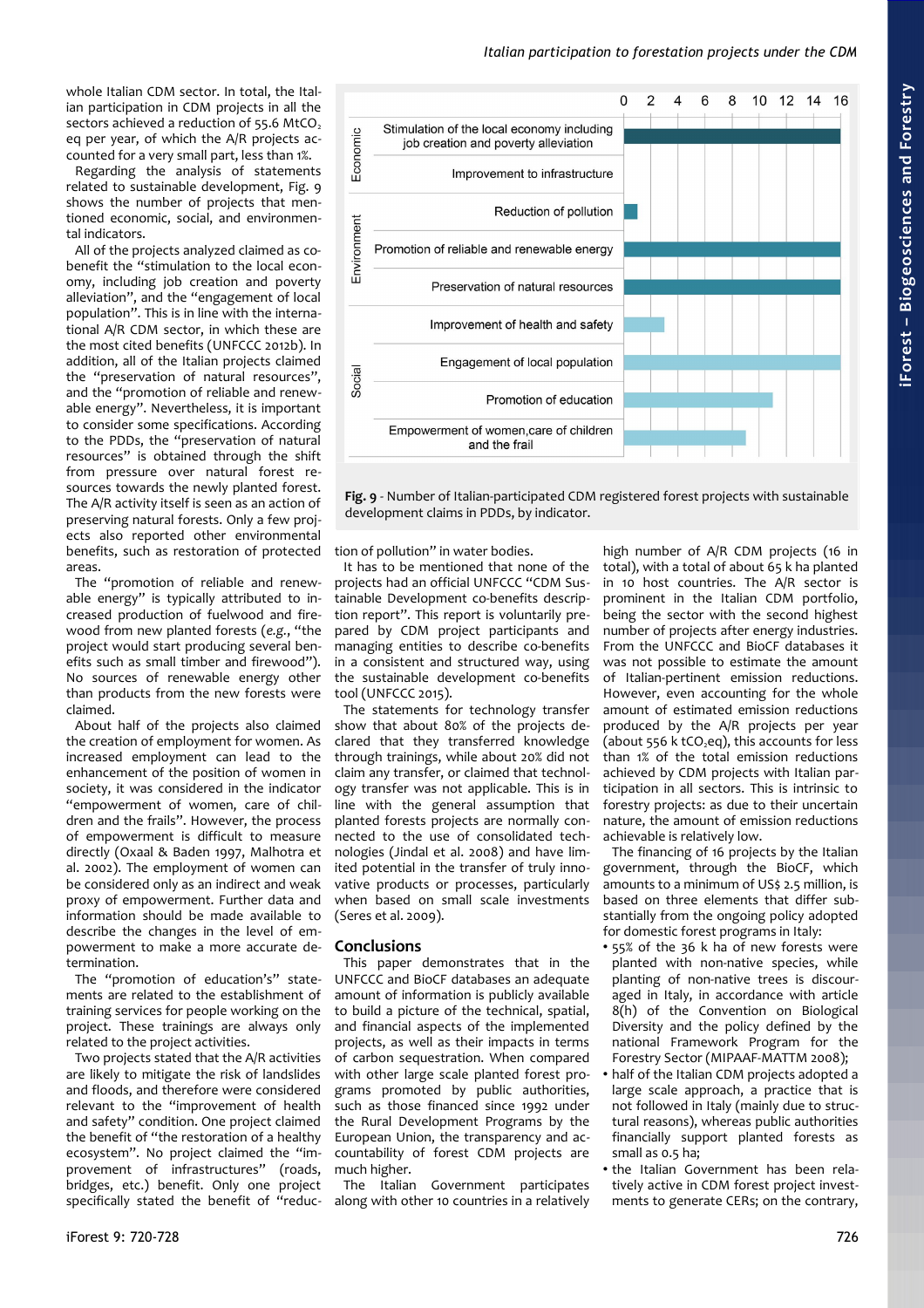whole Italian CDM sector. In total, the Italian participation in CDM projects in all the sectors achieved a reduction of  $55.6$  MtCO<sub>2</sub> eq per year, of which the A/R projects accounted for a very small part, less than 1%.

Regarding the analysis of statements related to sustainable development, [Fig. 9](#page-6-0) shows the number of projects that mentioned economic, social, and environmental indicators.

All of the projects analyzed claimed as cobenefit the "stimulation to the local economy, including job creation and poverty alleviation", and the "engagement of local population". This is in line with the international A/R CDM sector, in which these are the most cited benefits (UNFCCC 2012b). In addition, all of the Italian projects claimed the "preservation of natural resources", and the "promotion of reliable and renewable energy". Nevertheless, it is important to consider some specifications. According to the PDDs, the "preservation of natural resources" is obtained through the shift from pressure over natural forest resources towards the newly planted forest. The A/R activity itself is seen as an action of preserving natural forests. Only a few projects also reported other environmental benefits, such as restoration of protected areas.

The "promotion of reliable and renewable energy" is typically attributed to increased production of fuelwood and firewood from new planted forests (*e.g.*, "the project would start producing several benefits such as small timber and firewood"). No sources of renewable energy other than products from the new forests were claimed.

About half of the projects also claimed the creation of employment for women. As increased employment can lead to the enhancement of the position of women in society, it was considered in the indicator "empowerment of women, care of children and the frails". However, the process of empowerment is difficult to measure directly (Oxaal & Baden 1997, Malhotra et al. 2002). The employment of women can be considered only as an indirect and weak proxy of empowerment. Further data and information should be made available to describe the changes in the level of empowerment to make a more accurate determination.

The "promotion of education's" statements are related to the establishment of training services for people working on the project. These trainings are always only related to the project activities.

Two projects stated that the A/R activities are likely to mitigate the risk of landslides and floods, and therefore were considered relevant to the "improvement of health and safety" condition. One project claimed the benefit of "the restoration of a healthy ecosystem". No project claimed the "improvement of infrastructures" (roads, bridges, etc.) benefit. Only one project specifically stated the benefit of "reduc-



<span id="page-6-0"></span>**Fig. 9** - Number of Italian-participated CDM registered forest projects with sustainable development claims in PDDs, by indicator.

tion of pollution" in water bodies.

It has to be mentioned that none of the projects had an official UNFCCC "CDM Sustainable Development co-benefits description report". This report is voluntarily prepared by CDM project participants and managing entities to describe co-benefits in a consistent and structured way, using the sustainable development co-benefits tool (UNFCCC 2015).

The statements for technology transfer show that about 80% of the projects declared that they transferred knowledge through trainings, while about 20% did not claim any transfer, or claimed that technology transfer was not applicable. This is in line with the general assumption that planted forests projects are normally connected to the use of consolidated technologies (Jindal et al. 2008) and have limited potential in the transfer of truly innovative products or processes, particularly when based on small scale investments (Seres et al. 2009).

## **Conclusions**

This paper demonstrates that in the UNFCCC and BioCF databases an adequate amount of information is publicly available to build a picture of the technical, spatial, and financial aspects of the implemented projects, as well as their impacts in terms of carbon sequestration. When compared with other large scale planted forest programs promoted by public authorities, such as those financed since 1992 under the Rural Development Programs by the European Union, the transparency and accountability of forest CDM projects are much higher.

The Italian Government participates along with other 10 countries in a relatively

high number of A/R CDM projects (16 in total), with a total of about 65 k ha planted in 10 host countries. The A/R sector is prominent in the Italian CDM portfolio, being the sector with the second highest number of projects after energy industries. From the UNFCCC and BioCF databases it was not possible to estimate the amount of Italian-pertinent emission reductions. However, even accounting for the whole amount of estimated emission reductions produced by the A/R projects per year  $\overline{a}$  (about 556 k tCO eq), this accounts for less than 1% of the total emission reductions achieved by CDM projects with Italian participation in all sectors. This is intrinsic to forestry projects: as due to their uncertain nature, the amount of emission reductions achievable is relatively low.

The financing of 16 projects by the Italian government, through the BioCF, which amounts to a minimum of US\$ 2.5 million, is based on three elements that differ substantially from the ongoing policy adopted for domestic forest programs in Italy:

- 55% of the 36 k ha of new forests were planted with non-native species, while planting of non-native trees is discouraged in Italy, in accordance with article 8(h) of the Convention on Biological Diversity and the policy defined by the national Framework Program for the Forestry Sector (MIPAAF-MATTM 2008);
- half of the Italian CDM projects adopted a large scale approach, a practice that is not followed in Italy (mainly due to structural reasons), whereas public authorities financially support planted forests as small as 0.5 ha;
- the Italian Government has been relatively active in CDM forest project investments to generate CERs; on the contrary,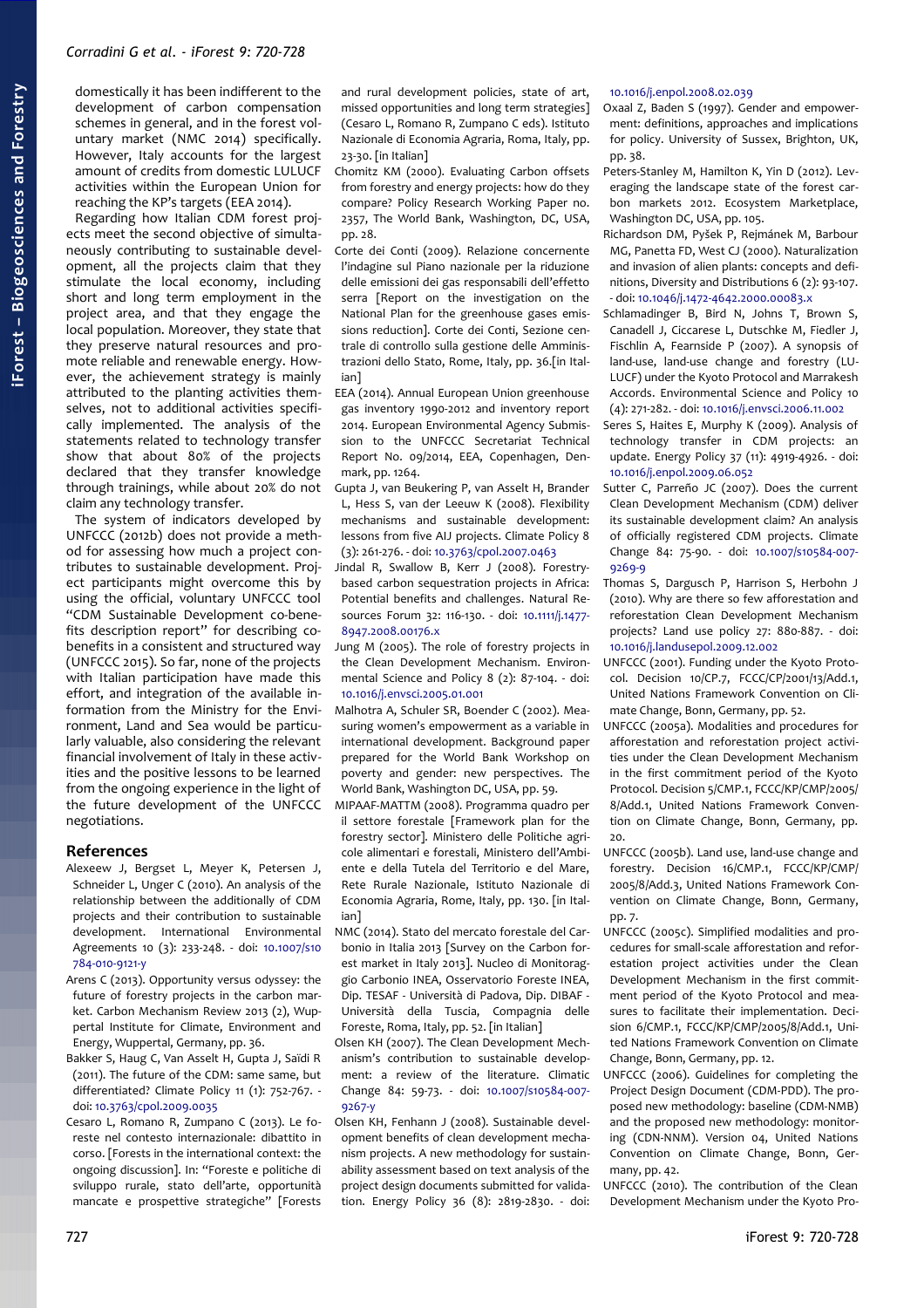domestically it has been indifferent to the development of carbon compensation schemes in general, and in the forest voluntary market (NMC 2014) specifically. However, Italy accounts for the largest amount of credits from domestic LULUCF activities within the European Union for reaching the KP's targets (EEA 2014).

Regarding how Italian CDM forest projects meet the second objective of simultaneously contributing to sustainable development, all the projects claim that they stimulate the local economy, including short and long term employment in the project area, and that they engage the local population. Moreover, they state that they preserve natural resources and promote reliable and renewable energy. However, the achievement strategy is mainly attributed to the planting activities themselves, not to additional activities specifically implemented. The analysis of the statements related to technology transfer show that about 80% of the projects declared that they transfer knowledge through trainings, while about 20% do not claim any technology transfer.

The system of indicators developed by UNFCCC (2012b) does not provide a method for assessing how much a project contributes to sustainable development. Project participants might overcome this by using the official, voluntary UNFCCC tool "CDM Sustainable Development co-benefits description report" for describing cobenefits in a consistent and structured way (UNFCCC 2015). So far, none of the projects with Italian participation have made this effort, and integration of the available information from the Ministry for the Environment, Land and Sea would be particularly valuable, also considering the relevant financial involvement of Italy in these activities and the positive lessons to be learned from the ongoing experience in the light of the future development of the UNFCCC negotiations.

#### **References**

- Alexeew J, Bergset L, Meyer K, Petersen J, Schneider L, Unger C (2010). An analysis of the relationship between the additionally of CDM projects and their contribution to sustainable development. International Environmental Agreements 10 (3): 233-248. - doi: [10.1007/s10](http://dx.doi.org/10.1007/s10784-010-9121-y) [784-010-9121-y](http://dx.doi.org/10.1007/s10784-010-9121-y)
- Arens C (2013). Opportunity versus odyssey: the future of forestry projects in the carbon market. Carbon Mechanism Review 2013 (2), Wuppertal Institute for Climate, Environment and Energy, Wuppertal, Germany, pp. 36.
- Bakker S, Haug C, Van Asselt H, Gupta J, Saïdi R (2011). The future of the CDM: same same, but differentiated? Climate Policy 11 (1): 752-767. doi: [10.3763/cpol.2009.0035](http://dx.doi.org/10.3763/cpol.2009.0035)
- Cesaro L, Romano R, Zumpano C (2013). Le foreste nel contesto internazionale: dibattito in corso. [Forests in the international context: the ongoing discussion]. In: "Foreste e politiche di sviluppo rurale, stato dell'arte, opportunità mancate e prospettive strategiche" [Forests

and rural development policies, state of art, missed opportunities and long term strategies] (Cesaro L, Romano R, Zumpano C eds). Istituto Nazionale di Economia Agraria, Roma, Italy, pp. 23-30. [in Italian]

- Chomitz KM (2000). Evaluating Carbon offsets from forestry and energy projects: how do they compare? Policy Research Working Paper no. 2357, The World Bank, Washington, DC, USA, pp. 28.
- Corte dei Conti (2009). Relazione concernente l'indagine sul Piano nazionale per la riduzione delle emissioni dei gas responsabili dell'effetto serra [Report on the investigation on the National Plan for the greenhouse gases emissions reduction]. Corte dei Conti, Sezione centrale di controllo sulla gestione delle Amministrazioni dello Stato, Rome, Italy, pp. 36.[in Italian]
- EEA (2014). Annual European Union greenhouse gas inventory 1990-2012 and inventory report 2014. European Environmental Agency Submission to the UNFCCC Secretariat Technical Report No. 09/2014, EEA, Copenhagen, Denmark, pp.  $1264$ .
- Gupta J, van Beukering P, van Asselt H, Brander L, Hess S, van der Leeuw K (2008). Flexibility mechanisms and sustainable development: lessons from five AIJ projects. Climate Policy 8 (3): 261-276. - doi: [10.3763/cpol.2007.0463](http://dx.doi.org/10.3763/cpol.2007.0463)
- Jindal R, Swallow B, Kerr J (2008). Forestrybased carbon sequestration projects in Africa: Potential benefits and challenges. Natural Resources Forum 32: 116-130. - doi: [10.1111/j.1477-](http://dx.doi.org/10.1111/j.1477-8947.2008.00176.x) [8947.2008.00176.x](http://dx.doi.org/10.1111/j.1477-8947.2008.00176.x)
- Jung M (2005). The role of forestry projects in the Clean Development Mechanism. Environmental Science and Policy 8 (2): 87-104. - doi: [10.1016/j.envsci.2005.01.001](http://dx.doi.org/10.1016/j.envsci.2005.01.001)
- Malhotra A, Schuler SR, Boender C (2002). Measuring women's empowerment as a variable in international development. Background paper prepared for the World Bank Workshop on poverty and gender: new perspectives. The World Bank, Washington DC, USA, pp. 59.
- MIPAAF-MATTM (2008). Programma quadro per il settore forestale [Framework plan for the forestry sector]. Ministero delle Politiche agricole alimentari e forestali, Ministero dell'Ambiente e della Tutela del Territorio e del Mare, Rete Rurale Nazionale, Istituto Nazionale di Economia Agraria, Rome, Italy, pp. 130. [in Italian]
- NMC (2014). Stato del mercato forestale del Carbonio in Italia 2013 [Survey on the Carbon forest market in Italy 2013]. Nucleo di Monitoraggio Carbonio INEA, Osservatorio Foreste INEA, Dip. TESAF - Università di Padova, Dip. DIBAF - Università della Tuscia, Compagnia delle Foreste, Roma, Italy, pp. 52. [in Italian]
- Olsen KH (2007). The Clean Development Mechanism's contribution to sustainable development: a review of the literature. Climatic Change 84: 59-73. - doi: [10.1007/s10584-007-](http://dx.doi.org/10.1007/s10584-007-9267-y) [9267-y](http://dx.doi.org/10.1007/s10584-007-9267-y)
- Olsen KH, Fenhann J (2008). Sustainable development benefits of clean development mechanism projects. A new methodology for sustainability assessment based on text analysis of the project design documents submitted for validation. Energy Policy 36 (8): 2819-2830. - doi:

#### [10.1016/j.enpol.2008.02.039](http://dx.doi.org/10.1016/j.enpol.2008.02.039)

- Oxaal Z, Baden S (1997). Gender and empowerment: definitions, approaches and implications for policy. University of Sussex, Brighton, UK, pp. 38.
- Peters-Stanley M, Hamilton K, Yin D (2012). Leveraging the landscape state of the forest carbon markets 2012. Ecosystem Marketplace, Washington DC, USA, pp. 105.
- Richardson DM, Pyšek P, Rejmánek M, Barbour MG, Panetta FD, West CJ (2000). Naturalization and invasion of alien plants: concepts and definitions, Diversity and Distributions 6 (2): 93-107. - doi: [10.1046/j.1472-4642.2000.00083.x](http://dx.doi.org/10.1046/j.1472-4642.2000.00083.x)
- Schlamadinger B, Bird N, Johns T, Brown S, Canadell J, Ciccarese L, Dutschke M, Fiedler J, Fischlin A, Fearnside P (2007). A synopsis of land-use, land-use change and forestry (LU-LUCF) under the Kyoto Protocol and Marrakesh Accords. Environmental Science and Policy 10 (4): 271-282. - doi: [10.1016/j.envsci.2006.11.002](http://dx.doi.org/10.1016/j.envsci.2006.11.002)
- Seres S, Haites E, Murphy K (2009). Analysis of technology transfer in CDM projects: an update. Energy Policy 37 (11): 4919-4926. - doi: [10.1016/j.enpol.2009.06.052](http://dx.doi.org/10.1016/j.enpol.2009.06.052)
- Sutter C, Parreño JC (2007). Does the current Clean Development Mechanism (CDM) deliver its sustainable development claim? An analysis of officially registered CDM projects. Climate Change 84: 75-90. - doi: [10.1007/s10584-007-](http://dx.doi.org/10.1007/s10584-007-9269-9) [9269-9](http://dx.doi.org/10.1007/s10584-007-9269-9)
- Thomas S, Dargusch P, Harrison S, Herbohn J (2010). Why are there so few afforestation and reforestation Clean Development Mechanism projects? Land use policy 27: 880-887. - doi: [10.1016/j.landusepol.2009.12.002](http://dx.doi.org/10.1016/j.landusepol.2009.12.002)
- UNFCCC (2001). Funding under the Kyoto Protocol. Decision 10/CP.7, FCCC/CP/2001/13/Add.1, United Nations Framework Convention on Climate Change, Bonn, Germany, pp. 52.
- UNFCCC (2005a). Modalities and procedures for afforestation and reforestation project activities under the Clean Development Mechanism in the first commitment period of the Kyoto Protocol. Decision 5/CMP.1, FCCC/KP/CMP/2005/ 8/Add.1, United Nations Framework Convention on Climate Change, Bonn, Germany, pp. 20.
- UNFCCC (2005b). Land use, land-use change and forestry. Decision 16/CMP.1, FCCC/KP/CMP/ 2005/8/Add.3, United Nations Framework Convention on Climate Change, Bonn, Germany, pp. 7.
- UNFCCC (2005c). Simplified modalities and procedures for small-scale afforestation and reforestation project activities under the Clean Development Mechanism in the first commitment period of the Kyoto Protocol and measures to facilitate their implementation. Decision 6/CMP.1, FCCC/KP/CMP/2005/8/Add.1, United Nations Framework Convention on Climate Change, Bonn, Germany, pp. 12.
- UNFCCC (2006). Guidelines for completing the Project Design Document (CDM-PDD). The proposed new methodology: baseline (CDM-NMB) and the proposed new methodology: monitoring (CDN-NNM). Version 04, United Nations Convention on Climate Change, Bonn, Germany, pp.  $42$ .
- UNFCCC (2010). The contribution of the Clean Development Mechanism under the Kyoto Pro-